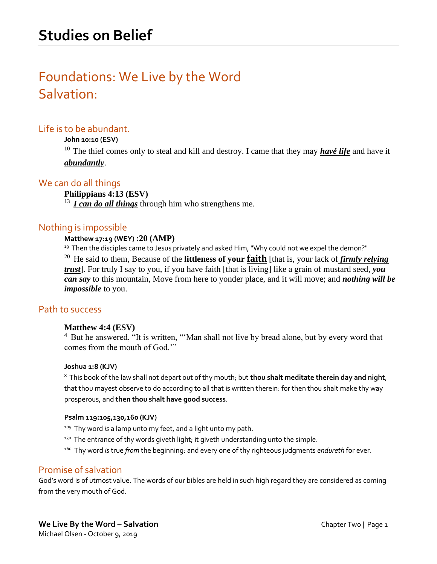# Foundations: We Live by the Word Salvation:

## Life is to be abundant.

#### **John 10:10 (ESV)**

<sup>10</sup> The thief comes only to steal and kill and destroy. I came that they may **have life** and have it *abundantly*.

## We can do all things

#### **Philippians 4:13 (ESV)**

<sup>13</sup> *I can do all things* through him who strengthens me.

## Nothing is impossible

#### **Matthew 17:19 (WEY) :20 (AMP)**

 $19$  Then the disciples came to Jesus privately and asked Him, "Why could not we expel the demon?"

<sup>20</sup> He said to them, Because of the **littleness of your faith** [that is, your lack of *firmly relying trust*]. For truly I say to you, if you have faith [that is living] like a grain of mustard seed, *you can say* to this mountain, Move from here to yonder place, and it will move; and *nothing will be impossible* to you.

## Path to success

#### **Matthew 4:4 (ESV)**

<sup>4</sup> But he answered, "It is written, "'Man shall not live by bread alone, but by every word that comes from the mouth of God.'"

#### **Joshua 1:8 (KJV)**

<sup>8</sup>This book of the law shall not depart out of thy mouth; but **thou shalt meditate therein day and night**, that thou mayest observe to do according to all that is written therein: for then thou shalt make thy way prosperous, and **then thou shalt have good success**.

#### **Psalm 119:105,130,160 (KJV)**

- <sup>105</sup> Thy word *is* a lamp unto my feet, and a light unto my path.
- $130$  The entrance of thy words giveth light; it giveth understanding unto the simple.
- <sup>160</sup>Thy word *is*true *from* the beginning: and every one of thy righteous judgments *endureth* for ever.

## Promise of salvation

God's word is of utmost value. The words of our bibles are held in such high regard they are considered as coming from the very mouth of God.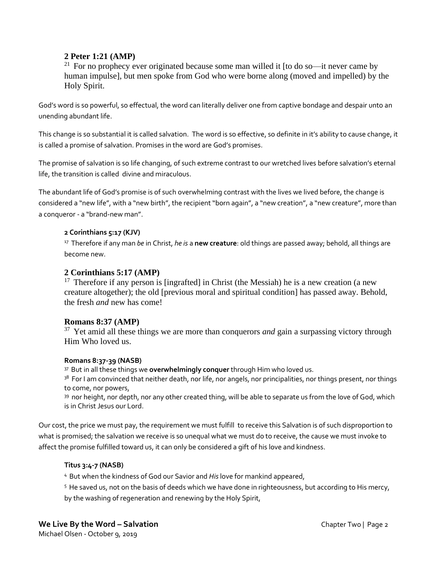## **2 Peter 1:21 (AMP)**

<sup>21</sup> For no prophecy ever originated because some man willed it [to do so—it never came by human impulse], but men spoke from God who were borne along (moved and impelled) by the Holy Spirit.

God's word is so powerful, so effectual, the word can literally deliver one from captive bondage and despair unto an unending abundant life.

This change is so substantial it is called salvation. The word is so effective, so definite in it's ability to cause change, it is called a promise of salvation. Promises in the word are God's promises.

The promise of salvation is so life changing, of such extreme contrast to our wretched lives before salvation's eternal life, the transition is called divine and miraculous.

The abundant life of God's promise is of such overwhelming contrast with the lives we lived before, the change is considered a "new life", with a "new birth", the recipient "born again", a "new creation", a "new creature", more than a conqueror - a "brand-new man".

#### **2 Corinthians 5:17 (KJV)**

<sup>17</sup> Therefore if any man *be* in Christ, *he is* a new creature: old things are passed away; behold, all things are become new.

#### **2 Corinthians 5:17 (AMP)**

<sup>17</sup> Therefore if any person is [ingrafted] in Christ (the Messiah) he is a new creation (a new creature altogether); the old [previous moral and spiritual condition] has passed away. Behold, the fresh *and* new has come!

#### **Romans 8:37 (AMP)**

<sup>37</sup> Yet amid all these things we are more than conquerors *and* gain a surpassing victory through Him Who loved us.

#### **Romans 8:37-39 (NASB)**

<sup>37</sup>But in all these things we **overwhelmingly conquer** through Him who loved us.

<sup>38</sup> For I am convinced that neither death, nor life, nor angels, nor principalities, nor things present, nor things to come, nor powers,

39 nor height, nor depth, nor any other created thing, will be able to separate us from the love of God, which is in Christ Jesus our Lord.

Our cost, the price we must pay, the requirement we must fulfill to receive this Salvation is of such disproportion to what is promised; the salvation we receive is so unequal what we must do to receive, the cause we must invoke to affect the promise fulfilled toward us, it can only be considered a gift of his love and kindness.

#### **Titus 3:4-7 (NASB)**

- <sup>4</sup>But when the kindness of God our Savior and *His*love for mankind appeared,
- <sup>5</sup> He saved us, not on the basis of deeds which we have done in righteousness, but according to His mercy, by the washing of regeneration and renewing by the Holy Spirit,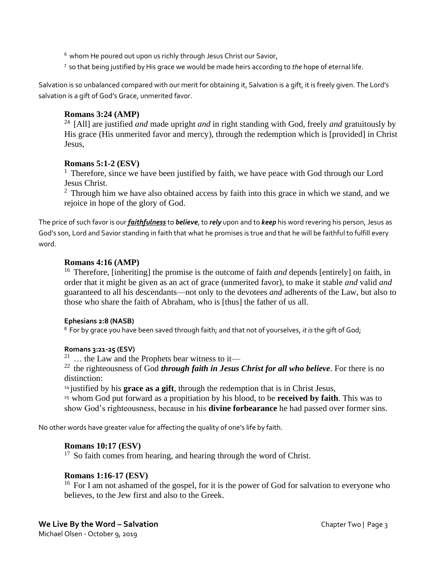$6$  whom He poured out upon us richly through Jesus Christ our Savior,

<sup>7</sup>so that being justified by His grace we would be made heirs according to *the* hope of eternal life.

Salvation is so unbalanced compared with our merit for obtaining it, Salvation is a gift, it is freely given. The Lord's salvation is a gift of God's Grace, unmerited favor.

#### **Romans 3:24 (AMP)**

<sup>24</sup> [All] are justified *and* made upright *and* in right standing with God, freely *and* gratuitously by His grace (His unmerited favor and mercy), through the redemption which is [provided] in Christ Jesus,

#### **Romans 5:1-2 (ESV)**

<sup>1</sup> Therefore, since we have been justified by faith, we have peace with God through our Lord Jesus Christ.

 $2$  Through him we have also obtained access by faith into this grace in which we stand, and we rejoice in hope of the glory of God.

The price of such favor is our *faithfulness* to *believe*, to *rely* upon and to *keep* his word revering his person, Jesus as God's son, Lord and Savior standing in faith that what he promises is true and that he will be faithful to fulfill every word.

#### **Romans 4:16 (AMP)**

<sup>16</sup> Therefore, [inheriting] the promise is the outcome of faith *and* depends [entirely] on faith, in order that it might be given as an act of grace (unmerited favor), to make it stable *and* valid *and* guaranteed to all his descendants—not only to the devotees *and* adherents of the Law, but also to those who share the faith of Abraham, who is [thus] the father of us all.

#### **Ephesians 2:8 (NASB)**

<sup>8</sup>For by grace you have been saved through faith; and that not of yourselves, *it is*the gift of God;

#### **Romans 3:21-25 (ESV)**

<sup>21</sup> ... the Law and the Prophets bear witness to it—

 $^{22}$  the righteousness of God *through faith in Jesus Christ for all who believe*. For there is no distinction:

<sup>24</sup> justified by his **grace as a gift**, through the redemption that is in Christ Jesus,

<sup>25</sup>whom God put forward as a propitiation by his blood, to be **received by faith**. This was to show God's righteousness, because in his **divine forbearance** he had passed over former sins.

No other words have greater value for affecting the quality of one's life by faith.

#### **Romans 10:17 (ESV)**

 $17$  So faith comes from hearing, and hearing through the word of Christ.

#### **Romans 1:16-17 (ESV)**

<sup>16</sup> For I am not ashamed of the gospel, for it is the power of God for salvation to everyone who believes, to the Jew first and also to the Greek.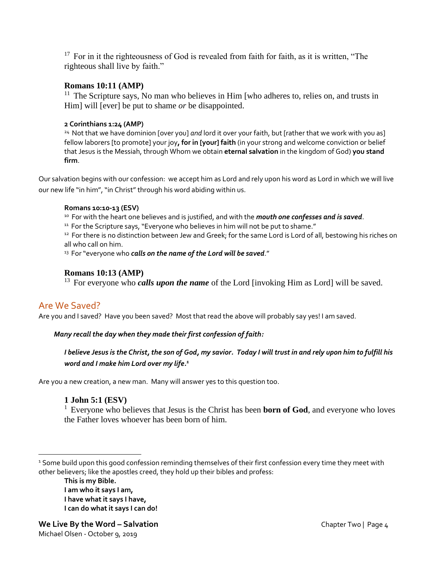$17$  For in it the righteousness of God is revealed from faith for faith, as it is written, "The righteous shall live by faith."

## **Romans 10:11 (AMP)**

 $11$  The Scripture says, No man who believes in Him [who adheres to, relies on, and trusts in Him] will [ever] be put to shame *or* be disappointed.

#### **2 Corinthians 1:24 (AMP)**

<sup>24</sup> Not that we have dominion [over you] and lord it over your faith, but [rather that we work with you as] fellow laborers [to promote] your joy**, for in [your] faith** (in your strong and welcome conviction or belief that Jesus is the Messiah, through Whom we obtain **eternal salvation** in the kingdom of God) **you stand firm**.

Our salvation begins with our confession: we accept him as Lord and rely upon his word as Lord in which we will live our new life "in him", "in Christ" through his word abiding within us.

#### **Romans 10:10-13 (ESV)**

<sup>10</sup> For with the heart one believes and is justified, and with the *mouth one confesses and is saved*.

<sup>11</sup> For the Scripture says, "Everyone who believes in him will not be put to shame."

<sup>12</sup> For there is no distinction between Jew and Greek; for the same Lord is Lord of all, bestowing his riches on all who call on him.

<sup>13</sup> For "everyone who *calls on the name of the Lord will be saved."* 

## **Romans 10:13 (AMP)**

<sup>13</sup> For everyone who *calls upon the name* of the Lord [invoking Him as Lord] will be saved.

## Are We Saved?

Are you and I saved? Have you been saved? Most that read the above will probably say yes! I am saved.

 *Many recall the day when they made their first confession of faith:* 

*I believe Jesus is the Christ, the son of God, my savior. Today I will trust in and rely upon him to fulfill his word and I make him Lord over my life. 1*

Are you a new creation, a new man. Many will answer yes to this question too.

## **1 John 5:1 (ESV)**

<sup>1</sup> Everyone who believes that Jesus is the Christ has been **born of God**, and everyone who loves the Father loves whoever has been born of him.

<sup>&</sup>lt;sup>1</sup> Some build upon this good confession reminding themselves of their first confession every time they meet with other believers; like the apostles creed, they hold up their bibles and profess:

**This is my Bible. I am who it says I am, I have what it says I have, I can do what it says I can do!**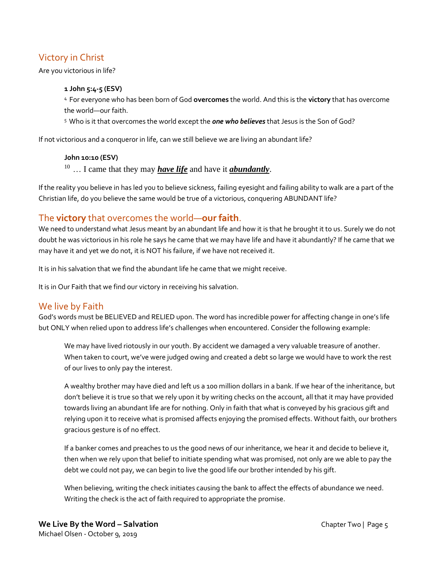# Victory in Christ

Are you victorious in life?

#### **1 John 5:4-5 (ESV)**

<sup>4</sup>For everyone who has been born of God **overcomes** the world. And this is the **victory** that has overcome the world—our faith.

<sup>5</sup>Who is it that overcomes the world except the *one who believes* that Jesus is the Son of God?

If not victorious and a conqueror in life, can we still believe we are living an abundant life?

**John 10:10 (ESV)** 

<sup>10</sup>… I came that they may *have life* and have it *abundantly*.

If the reality you believe in has led you to believe sickness, failing eyesight and failing ability to walk are a part of the Christian life, do you believe the same would be true of a victorious, conquering ABUNDANT life?

## The **victory** that overcomes the world—**our faith**.

We need to understand what Jesus meant by an abundant life and how it is that he brought it to us. Surely we do not doubt he was victorious in his role he says he came that we may have life and have it abundantly? If he came that we may have it and yet we do not, it is NOT his failure, if we have not received it.

It is in his salvation that we find the abundant life he came that we might receive.

It is in Our Faith that we find our victory in receiving his salvation.

## We live by Faith

God's words must be BELIEVED and RELIED upon. The word has incredible power for affecting change in one's life but ONLY when relied upon to address life's challenges when encountered. Consider the following example:

We may have lived riotously in our youth. By accident we damaged a very valuable treasure of another. When taken to court, we've were judged owing and created a debt so large we would have to work the rest of our lives to only pay the interest.

A wealthy brother may have died and left us a 100 million dollars in a bank. If we hear of the inheritance, but don't believe it is true so that we rely upon it by writing checks on the account, all that it may have provided towards living an abundant life are for nothing. Only in faith that what is conveyed by his gracious gift and relying upon it to receive what is promised affects enjoying the promised effects. Without faith, our brothers gracious gesture is of no effect.

If a banker comes and preaches to us the good news of our inheritance, we hear it and decide to believe it, then when we rely upon that belief to initiate spending what was promised, not only are we able to pay the debt we could not pay, we can begin to live the good life our brother intended by his gift.

When believing, writing the check initiates causing the bank to affect the effects of abundance we need. Writing the check is the act of faith required to appropriate the promise.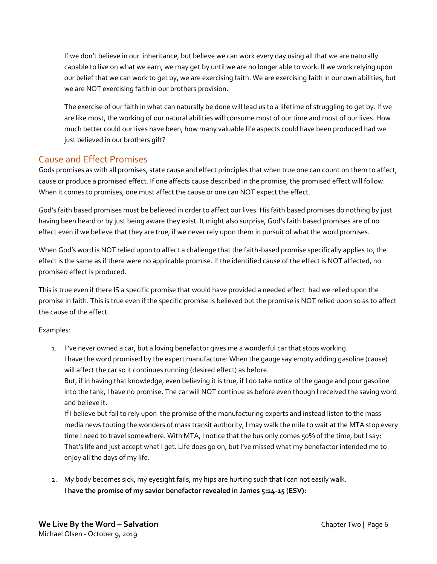If we don't believe in our inheritance, but believe we can work every day using all that we are naturally capable to live on what we earn, we may get by until we are no longer able to work. If we work relying upon our belief that we can work to get by, we are exercising faith. We are exercising faith in our own abilities, but we are NOT exercising faith in our brothers provision.

The exercise of our faith in what can naturally be done will lead us to a lifetime of struggling to get by. If we are like most, the working of our natural abilities will consume most of our time and most of our lives. How much better could our lives have been, how many valuable life aspects could have been produced had we just believed in our brothers gift?

## Cause and Effect Promises

Gods promises as with all promises, state cause and effect principles that when true one can count on them to affect, cause or produce a promised effect. If one affects cause described in the promise, the promised effect will follow. When it comes to promises, one must affect the cause or one can NOT expect the effect.

God's faith based promises must be believed in order to affect our lives. His faith based promises do nothing by just having been heard or by just being aware they exist. It might also surprise, God's faith based promises are of no effect even if we believe that they are true, if we never rely upon them in pursuit of what the word promises.

When God's word is NOT relied upon to affect a challenge that the faith-based promise specifically applies to, the effect is the same as if there were no applicable promise. If the identified cause of the effect is NOT affected, no promised effect is produced.

This is true even if there IS a specific promise that would have provided a needed effect had we relied upon the promise in faith. This is true even if the specific promise is believed but the promise is NOT relied upon so as to affect the cause of the effect.

#### Examples:

1. I 've never owned a car, but a loving benefactor gives me a wonderful car that stops working. I have the word promised by the expert manufacture: When the gauge say empty adding gasoline (cause) will affect the car so it continues running (desired effect) as before.

But, if in having that knowledge, even believing it is true, if I do take notice of the gauge and pour gasoline into the tank, I have no promise. The car will NOT continue as before even though I received the saving word and believe it.

If I believe but fail to rely upon the promise of the manufacturing experts and instead listen to the mass media news touting the wonders of mass transit authority, I may walk the mile to wait at the MTA stop every time I need to travel somewhere. With MTA, I notice that the bus only comes 50% of the time, but I say: That's life and just accept what I get. Life does go on, but I've missed what my benefactor intended me to enjoy all the days of my life.

2. My body becomes sick, my eyesight fails, my hips are hurting such that I can not easily walk. **I have the promise of my savior benefactor revealed in James 5:14-15 (ESV):**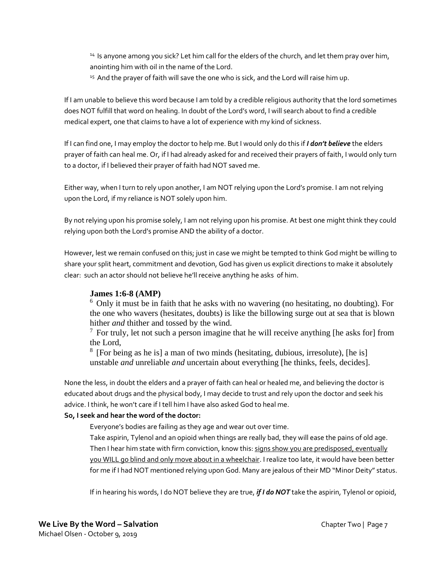<sup>14</sup> Is anyone among you sick? Let him call for the elders of the church, and let them pray over him, anointing him with oil in the name of the Lord.

<sup>15</sup> And the prayer of faith will save the one who is sick, and the Lord will raise him up.

If I am unable to believe this word because I am told by a credible religious authority that the lord sometimes does NOT fulfill that word on healing. In doubt of the Lord's word, I will search about to find a credible medical expert, one that claims to have a lot of experience with my kind of sickness.

If I can find one, I may employ the doctor to help me. But I would only do this if *I don't believe* the elders prayer of faith can heal me. Or, if I had already asked for and received their prayers of faith, I would only turn to a doctor, if I believed their prayer of faith had NOT saved me.

Either way, when I turn to rely upon another, I am NOT relying upon the Lord's promise. I am not relying upon the Lord, if my reliance is NOT solely upon him.

By not relying upon his promise solely, I am not relying upon his promise. At best one might think they could relying upon both the Lord's promise AND the ability of a doctor.

However, lest we remain confused on this; just in case we might be tempted to think God might be willing to share your split heart, commitment and devotion, God has given us explicit directions to make it absolutely clear: such an actor should not believe he'll receive anything he asks of him.

## **James 1:6-8 (AMP)**

 $6$  Only it must be in faith that he asks with no wavering (no hesitating, no doubting). For the one who wavers (hesitates, doubts) is like the billowing surge out at sea that is blown hither *and* thither and tossed by the wind.

 $7$  For truly, let not such a person imagine that he will receive anything [he asks for] from the Lord,

<sup>8</sup> [For being as he is] a man of two minds (hesitating, dubious, irresolute), [he is] unstable *and* unreliable *and* uncertain about everything [he thinks, feels, decides].

None the less, in doubt the elders and a prayer of faith can heal or healed me, and believing the doctor is educated about drugs and the physical body, I may decide to trust and rely upon the doctor and seek his advice. I think, he won't care if I tell him I have also asked God to heal me.

#### **So, I seek and hear the word of the doctor:**

Everyone's bodies are failing as they age and wear out over time.

Take aspirin, Tylenol and an opioid when things are really bad, they will ease the pains of old age. Then I hear him state with firm conviction, know this: signs show you are predisposed, eventually you WILL go blind and only move about in a wheelchair. I realize too late, it would have been better for me if I had NOT mentioned relying upon God. Many are jealous of their MD "Minor Deity" status.

If in hearing his words, I do NOT believe they are true, *if I do NOT* take the aspirin, Tylenol or opioid,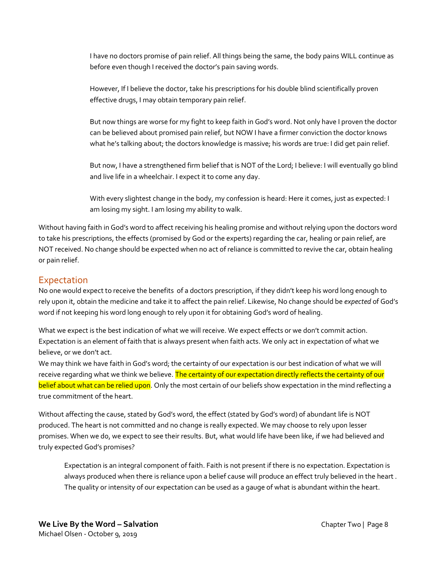I have no doctors promise of pain relief. All things being the same, the body pains WILL continue as before even though I received the doctor's pain saving words.

However, If I believe the doctor, take his prescriptions for his double blind scientifically proven effective drugs, I may obtain temporary pain relief.

But now things are worse for my fight to keep faith in God's word. Not only have I proven the doctor can be believed about promised pain relief, but NOW I have a firmer conviction the doctor knows what he's talking about; the doctors knowledge is massive; his words are true: I did get pain relief.

But now, I have a strengthened firm belief that is NOT of the Lord; I believe: I will eventually go blind and live life in a wheelchair. I expect it to come any day.

With every slightest change in the body, my confession is heard: Here it comes, just as expected: I am losing my sight. I am losing my ability to walk.

Without having faith in God's word to affect receiving his healing promise and without relying upon the doctors word to take his prescriptions, the effects (promised by God or the experts) regarding the car, healing or pain relief, are NOT received. No change should be expected when no act of reliance is committed to revive the car, obtain healing or pain relief.

## **Expectation**

No one would expect to receive the benefits of a doctors prescription, if they didn't keep his word long enough to rely upon it, obtain the medicine and take it to affect the pain relief. Likewise, No change should be *expected* of God's word if not keeping his word long enough to rely upon it for obtaining God's word of healing.

What we expect is the best indication of what we will receive. We expect effects or we don't commit action. Expectation is an element of faith that is always present when faith acts. We only act in expectation of what we believe, or we don't act.

We may think we have faith in God's word; the certainty of our expectation is our best indication of what we will receive regarding what we think we believe. The certainty of our expectation directly reflects the certainty of our belief about what can be relied upon. Only the most certain of our beliefs show expectation in the mind reflecting a true commitment of the heart.

Without affecting the cause, stated by God's word, the effect (stated by God's word) of abundant life is NOT produced. The heart is not committed and no change is really expected. We may choose to rely upon lesser promises. When we do, we expect to see their results. But, what would life have been like, if we had believed and truly expected God's promises?

Expectation is an integral component of faith. Faith is not present if there is no expectation. Expectation is always produced when there is reliance upon a belief cause will produce an effect truly believed in the heart . The quality or intensity of our expectation can be used as a gauge of what is abundant within the heart.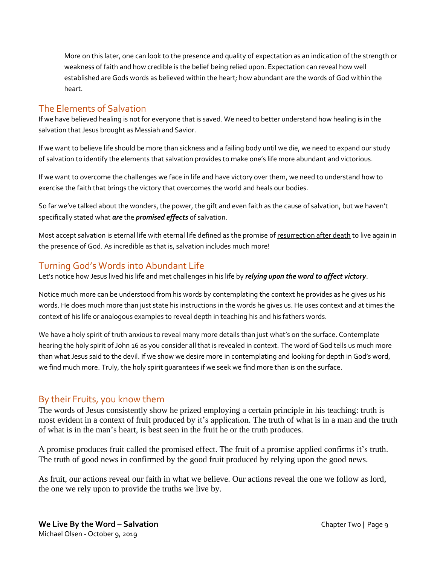More on this later, one can look to the presence and quality of expectation as an indication of the strength or weakness of faith and how credible is the belief being relied upon. Expectation can reveal how well established are Gods words as believed within the heart; how abundant are the words of God within the heart.

## The Elements of Salvation

If we have believed healing is not for everyone that is saved. We need to better understand how healing is in the salvation that Jesus brought as Messiah and Savior.

If we want to believe life should be more than sickness and a failing body until we die, we need to expand our study of salvation to identify the elements that salvation provides to make one's life more abundant and victorious.

If we want to overcome the challenges we face in life and have victory over them, we need to understand how to exercise the faith that brings the victory that overcomes the world and heals our bodies.

So far we've talked about the wonders, the power, the gift and even faith as the cause of salvation, but we haven't specifically stated what *are* the *promised effects* of salvation.

Most accept salvation is eternal life with eternal life defined as the promise of resurrection after death to live again in the presence of God. As incredible as that is, salvation includes much more!

# Turning God's Words into Abundant Life

Let's notice how Jesus lived his life and met challenges in his life by *relying upon the word to affect victory*.

Notice much more can be understood from his words by contemplating the context he provides as he gives us his words. He does much more than just state his instructions in the words he gives us. He uses context and at times the context of his life or analogous examples to reveal depth in teaching his and his fathers words.

We have a holy spirit of truth anxious to reveal many more details than just what's on the surface. Contemplate hearing the holy spirit of John 16 as you consider all that is revealed in context. The word of God tells us much more than what Jesus said to the devil. If we show we desire more in contemplating and looking for depth in God's word, we find much more. Truly, the holy spirit guarantees if we seek we find more than is on the surface.

# By their Fruits, you know them

The words of Jesus consistently show he prized employing a certain principle in his teaching: truth is most evident in a context of fruit produced by it's application. The truth of what is in a man and the truth of what is in the man's heart, is best seen in the fruit he or the truth produces.

A promise produces fruit called the promised effect. The fruit of a promise applied confirms it's truth. The truth of good news in confirmed by the good fruit produced by relying upon the good news.

As fruit, our actions reveal our faith in what we believe. Our actions reveal the one we follow as lord, the one we rely upon to provide the truths we live by.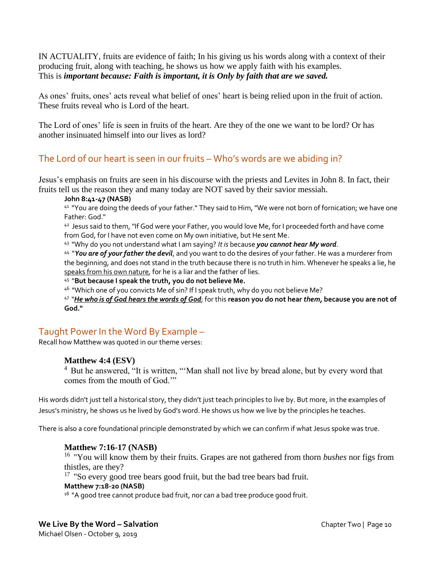IN ACTUALITY, fruits are evidence of faith; In his giving us his words along with a context of their producing fruit, along with teaching, he shows us how we apply faith with his examples. This is *important because: Faith is important, it is Only by faith that are we saved.*

As ones' fruits, ones' acts reveal what belief of ones' heart is being relied upon in the fruit of action. These fruits reveal who is Lord of the heart.

The Lord of ones' life is seen in fruits of the heart. Are they of the one we want to be lord? Or has another insinuated himself into our lives as lord?

# The Lord of our heart is seen in our fruits – Who's words are we abiding in?

Jesus's emphasis on fruits are seen in his discourse with the priests and Levites in John 8. In fact, their fruits tell us the reason they and many today are NOT saved by their savior messiah.

**John 8:41-47 (NASB)** 

<sup>41</sup> "You are doing the deeds of your father." They said to Him, "We were not born of fornication; we have one Father: God."

42 Jesus said to them, "If God were your Father, you would love Me, for I proceeded forth and have come from God, for I have not even come on My own initiative, but He sent Me.

43 "Why do you not understand what I am saying? *It is* because *you cannot hear My word*.

44 "*You are of your father the devil*, and you want to do the desires of your father. He was a murderer from the beginning, and does not stand in the truth because there is no truth in him. Whenever he speaks a lie, he speaks from his own nature*,* for he is a liar and the father of lies.

45 "**But because I speak the truth, you do not believe Me.**

<sup>46</sup> "Which one of you convicts Me of sin? If I speak truth, why do you not believe Me?

47 "*He who is of God hears the words of God*; for this **reason you do not hear** *them,* **because you are not of God."**

# Taught Power In the Word By Example –

Recall how Matthew was quoted in our theme verses:

#### **Matthew 4:4 (ESV)**

<sup>4</sup> But he answered, "It is written, "'Man shall not live by bread alone, but by every word that comes from the mouth of God.'"

His words didn't just tell a historical story, they didn't just teach principles to live by. But more, in the examples of Jesus's ministry, he shows us he lived by God's word. He shows us how we live by the principles he teaches.

There is also a core foundational principle demonstrated by which we can confirm if what Jesus spoke was true.

#### **Matthew 7:16-17 (NASB)**

<sup>16</sup> "You will know them by their fruits. Grapes are not gathered from thorn *bushes* nor figs from thistles, are they?

<sup>17</sup> "So every good tree bears good fruit, but the bad tree bears bad fruit.

#### **Matthew 7:18-20 (NASB)**

 $^{18}$  "A good tree cannot produce bad fruit, nor can a bad tree produce good fruit.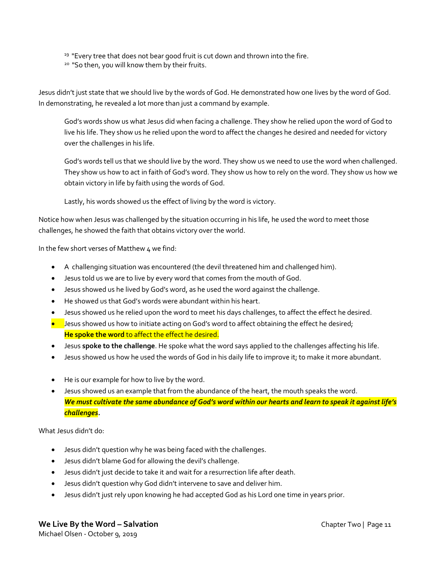<sup>19</sup> "Every tree that does not bear good fruit is cut down and thrown into the fire.

<sup>20</sup> "So then, you will know them by their fruits.

Jesus didn't just state that we should live by the words of God. He demonstrated how one lives by the word of God. In demonstrating, he revealed a lot more than just a command by example.

God's words show us what Jesus did when facing a challenge. They show he relied upon the word of God to live his life. They show us he relied upon the word to affect the changes he desired and needed for victory over the challenges in his life.

God's words tell us that we should live by the word. They show us we need to use the word when challenged. They show us how to act in faith of God's word. They show us how to rely on the word. They show us how we obtain victory in life by faith using the words of God.

Lastly, his words showed us the effect of living by the word is victory.

Notice how when Jesus was challenged by the situation occurring in his life, he used the word to meet those challenges, he showed the faith that obtains victory over the world.

In the few short verses of Matthew 4 we find:

- A challenging situation was encountered (the devil threatened him and challenged him).
- Jesus told us we are to live by every word that comes from the mouth of God.
- Jesus showed us he lived by God's word, as he used the word against the challenge.
- He showed us that God's words were abundant within his heart.
- Jesus showed us he relied upon the word to meet his days challenges, to affect the effect he desired.
- Jesus showed us how to initiate acting on God's word to affect obtaining the effect he desired; **He spoke the word** to affect the effect he desired.
- Jesus **spoke to the challenge**. He spoke what the word says applied to the challenges affecting his life.
- Jesus showed us how he used the words of God in his daily life to improve it; to make it more abundant.
- He is our example for how to live by the word.
- Jesus showed us an example that from the abundance of the heart, the mouth speaks the word. *We must cultivate the same abundance of God's word within our hearts and learn to speak it against life's challenges.*

What Jesus didn't do:

- Jesus didn't question why he was being faced with the challenges.
- Jesus didn't blame God for allowing the devil's challenge.
- Jesus didn't just decide to take it and wait for a resurrection life after death.
- Jesus didn't question why God didn't intervene to save and deliver him.
- Jesus didn't just rely upon knowing he had accepted God as his Lord one time in years prior.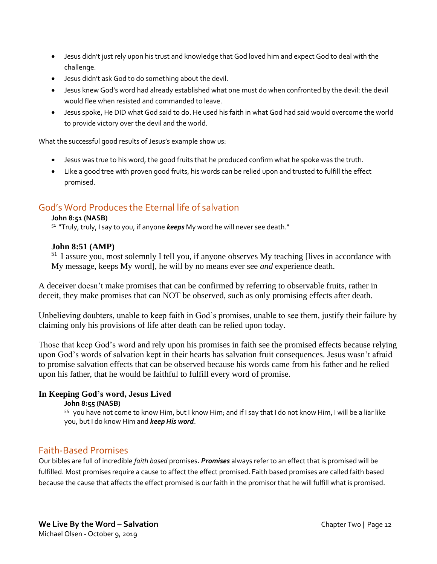- Jesus didn't just rely upon his trust and knowledge that God loved him and expect God to deal with the challenge.
- Jesus didn't ask God to do something about the devil.
- Jesus knew God's word had already established what one must do when confronted by the devil: the devil would flee when resisted and commanded to leave.
- Jesus spoke, He DID what God said to do. He used his faith in what God had said would overcome the world to provide victory over the devil and the world.

What the successful good results of Jesus's example show us:

- Jesus was true to his word, the good fruits that he produced confirm what he spoke was the truth.
- Like a good tree with proven good fruits, his words can be relied upon and trusted to fulfill the effect promised.

# God's Word Produces the Eternal life of salvation

#### **John 8:51 (NASB)**

<sup>51</sup> "Truly, truly, I say to you, if anyone *keeps* My word he will never see death."

#### **John 8:51 (AMP)**

 $<sup>51</sup>$  I assure you, most solemnly I tell you, if anyone observes My teaching [lives in accordance with</sup> My message, keeps My word], he will by no means ever see *and* experience death.

A deceiver doesn't make promises that can be confirmed by referring to observable fruits, rather in deceit, they make promises that can NOT be observed, such as only promising effects after death.

Unbelieving doubters, unable to keep faith in God's promises, unable to see them, justify their failure by claiming only his provisions of life after death can be relied upon today.

Those that keep God's word and rely upon his promises in faith see the promised effects because relying upon God's words of salvation kept in their hearts has salvation fruit consequences. Jesus wasn't afraid to promise salvation effects that can be observed because his words came from his father and he relied upon his father, that he would be faithful to fulfill every word of promise.

#### **In Keeping God's word, Jesus Lived**

#### **John 8:55 (NASB)**

55 you have not come to know Him, but I know Him; and if I say that I do not know Him, I will be a liar like you, but I do know Him and *keep His word*.

## Faith-Based Promises

Our bibles are full of incredible *faith based* promises*. Promises* always refer to an effect that is promised will be fulfilled. Most promises require a cause to affect the effect promised. Faith based promises are called faith based because the cause that affects the effect promised is our faith in the promisor that he will fulfill what is promised.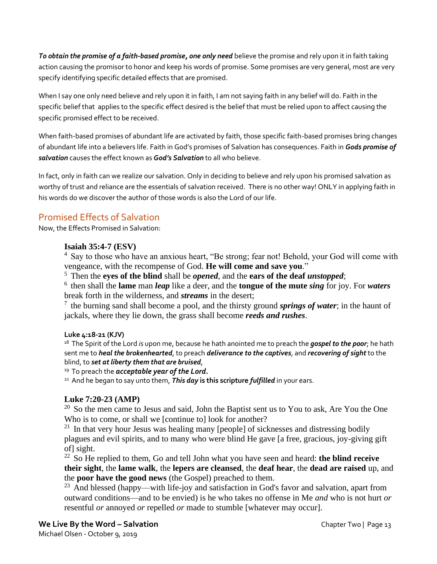*To obtain the promise of a faith-based promise, one only need* believe the promise and rely upon it in faith taking action causing the promisor to honor and keep his words of promise. Some promises are very general, most are very specify identifying specific detailed effects that are promised.

When I say one only need believe and rely upon it in faith, I am not saying faith in any belief will do. Faith in the specific belief that applies to the specific effect desired is the belief that must be relied upon to affect causing the specific promised effect to be received.

When faith-based promises of abundant life are activated by faith, those specific faith-based promises bring changes of abundant life into a believers life. Faith in God's promises of Salvation has consequences. Faith in *Gods promise of salvation* causes the effect known as *God's Salvation* to all who believe.

In fact, only in faith can we realize our salvation. Only in deciding to believe and rely upon his promised salvation as worthy of trust and reliance are the essentials of salvation received. There is no other way! ONLY in applying faith in his words do we discover the author of those words is also the Lord of our life.

# Promised Effects of Salvation

Now, the Effects Promised in Salvation:

## **Isaiah 35:4-7 (ESV)**

 $4$  Say to those who have an anxious heart, "Be strong; fear not! Behold, your God will come with vengeance, with the recompense of God. **He will come and save you**."

<sup>5</sup>Then the **eyes of the blind** shall be *opened*, and the **ears of the deaf** *unstopped*;

<sup>6</sup>then shall the **lame** man *leap* like a deer, and the **tongue of the mute** *sing* for joy. For *waters* break forth in the wilderness, and *streams* in the desert;

 $<sup>7</sup>$  the burning sand shall become a pool, and the thirsty ground *springs of water*; in the haunt of</sup> jackals, where they lie down, the grass shall become *reeds and rushes*.

## **Luke 4:18-21 (KJV)**

<sup>18</sup> The Spirit of the Lord *is* upon me, because he hath anointed me to preach the *gospel to the poor*; he hath sent me to *heal the brokenhearted*, to preach *deliverance to the captives*, and *recovering of sight* to the blind, to *set at liberty them that are bruised*,

<sup>19</sup>To preach the *acceptable year of the Lord***.**

<sup>21</sup> And he began to say unto them, **This day is this scripture** *fulfilled* in your ears.

## **Luke 7:20-23 (AMP)**

 $20$  So the men came to Jesus and said, John the Baptist sent us to You to ask, Are You the One Who is to come, or shall we [continue to] look for another?

 $21$  In that very hour Jesus was healing many [people] of sicknesses and distressing bodily plagues and evil spirits, and to many who were blind He gave [a free, gracious, joy-giving gift of] sight.

<sup>22</sup>So He replied to them, Go and tell John what you have seen and heard: **the blind receive their sight**, the **lame walk**, the **lepers are cleansed**, the **deaf hear**, the **dead are raised** up, and the **poor have the good news** (the Gospel) preached to them.

<sup>23</sup> And blessed (happy—with life-joy and satisfaction in God's favor and salvation, apart from outward conditions—and to be envied) is he who takes no offense in Me *and* who is not hurt *or* resentful *or* annoyed *or* repelled *or* made to stumble [whatever may occur].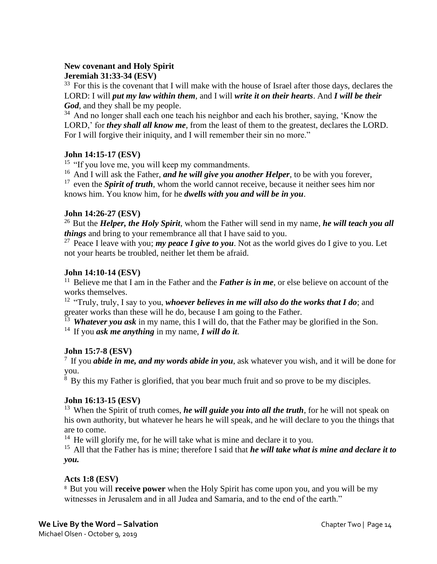## **New covenant and Holy Spirit**

## **Jeremiah 31:33-34 (ESV)**

 $33$  For this is the covenant that I will make with the house of Israel after those days, declares the LORD: I will *put my law within them*, and I will *write it on their hearts*. And *I will be their God*, and they shall be my people.

 $34$  And no longer shall each one teach his neighbor and each his brother, saying, 'Know the LORD,' for *they shall all know me*, from the least of them to the greatest, declares the LORD. For I will forgive their iniquity, and I will remember their sin no more."

## **John 14:15-17 (ESV)**

<sup>15</sup> "If you love me, you will keep my commandments.

<sup>16</sup> And I will ask the Father, *and he will give you another Helper*, to be with you forever,  $17$  even the *Spirit of truth*, whom the world cannot receive, because it neither sees him nor knows him. You know him, for he *dwells with you and will be in you*.

## **John 14:26-27 (ESV)**

<sup>26</sup> But the *Helper, the Holy Spirit*, whom the Father will send in my name, *he will teach you all things* and bring to your remembrance all that I have said to you.

<sup>27</sup> Peace I leave with you; *my peace I give to you*. Not as the world gives do I give to you. Let not your hearts be troubled, neither let them be afraid.

#### **John 14:10-14 (ESV)**

<sup>11</sup> Believe me that I am in the Father and the **Father is in me**, or else believe on account of the works themselves.

<sup>12</sup> "Truly, truly, I say to you, *whoever believes in me will also do the works that I do*; and greater works than these will he do, because I am going to the Father.

 $\overline{13}$  Whatever you ask in my name, this I will do, that the Father may be glorified in the Son.

<sup>14</sup> If you *ask me anything* in my name, *I will do it*.

## **John 15:7-8 (ESV)**

<sup>7</sup>If you *abide in me, and my words abide in you*, ask whatever you wish, and it will be done for you.

 $\frac{8}{8}$  By this my Father is glorified, that you bear much fruit and so prove to be my disciples.

## **John 16:13-15 (ESV)**

<sup>13</sup> When the Spirit of truth comes, *he will guide you into all the truth*, for he will not speak on his own authority, but whatever he hears he will speak, and he will declare to you the things that are to come.

 $14$  He will glorify me, for he will take what is mine and declare it to you.

<sup>15</sup> All that the Father has is mine; therefore I said that *he will take what is mine and declare it to you.*

## **Acts 1:8 (ESV)**

<sup>8</sup> But you will **receive power** when the Holy Spirit has come upon you, and you will be my witnesses in Jerusalem and in all Judea and Samaria, and to the end of the earth."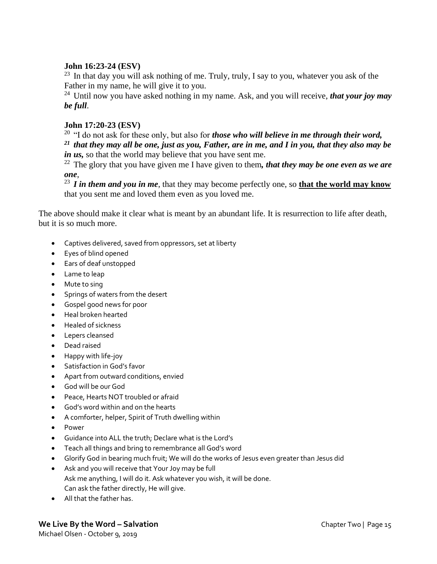## **John 16:23-24 (ESV)**

 $23$  In that day you will ask nothing of me. Truly, truly, I say to you, whatever you ask of the Father in my name, he will give it to you.

<sup>24</sup> Until now you have asked nothing in my name. Ask, and you will receive, *that your joy may be full*.

## **John 17:20-23 (ESV)**

<sup>20</sup> "I do not ask for these only, but also for *those who will believe in me through their word*, *<sup>21</sup>that they may all be one, just as you, Father, are in me, and I in you, that they also may be in us*, so that the world may believe that you have sent me.

 $^{22}$  The glory that you have given me I have given to them, *that they may be one even as we are one*,

<sup>23</sup>*I in them and you in me*, that they may become perfectly one, so **that the world may know** that you sent me and loved them even as you loved me.

The above should make it clear what is meant by an abundant life. It is resurrection to life after death, but it is so much more.

- Captives delivered, saved from oppressors, set at liberty
- Eyes of blind opened
- Ears of deaf unstopped
- Lame to leap
- Mute to sing
- Springs of waters from the desert
- Gospel good news for poor
- Heal broken hearted
- Healed of sickness
- Lepers cleansed
- Dead raised
- Happy with life-joy
- Satisfaction in God's favor
- Apart from outward conditions, envied
- God will be our God
- Peace, Hearts NOT troubled or afraid
- God's word within and on the hearts
- A comforter, helper, Spirit of Truth dwelling within
- Power
- Guidance into ALL the truth; Declare what is the Lord's
- Teach all things and bring to remembrance all God's word
- Glorify God in bearing much fruit; We will do the works of Jesus even greater than Jesus did
- Ask and you will receive that Your Joy may be full Ask me anything, I will do it. Ask whatever you wish, it will be done. Can ask the father directly, He will give.
- All that the father has.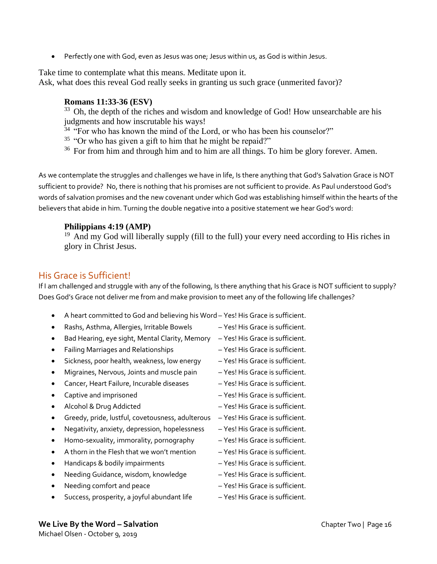• Perfectly one with God, even as Jesus was one; Jesus within us, as God is within Jesus.

Take time to contemplate what this means. Meditate upon it. Ask, what does this reveal God really seeks in granting us such grace (unmerited favor)?

## **Romans 11:33-36 (ESV)**

<sup>33</sup> Oh, the depth of the riches and wisdom and knowledge of God! How unsearchable are his judgments and how inscrutable his ways!

 $34$  "For who has known the mind of the Lord, or who has been his counselor?"

 $35$  "Or who has given a gift to him that he might be repaid?"

 $36$  For from him and through him and to him are all things. To him be glory forever. Amen.

As we contemplate the struggles and challenges we have in life, Is there anything that God's Salvation Grace is NOT sufficient to provide? No, there is nothing that his promises are not sufficient to provide. As Paul understood God's words of salvation promises and the new covenant under which God was establishing himself within the hearts of the believers that abide in him. Turning the double negative into a positive statement we hear God's word:

## **Philippians 4:19 (AMP)**

 $19$  And my God will liberally supply (fill to the full) your every need according to His riches in glory in Christ Jesus.

# His Grace is Sufficient!

If I am challenged and struggle with any of the following, Is there anything that his Grace is NOT sufficient to supply? Does God's Grace not deliver me from and make provision to meet any of the following life challenges?

- A heart committed to God and believing his Word Yes! His Grace is sufficient.
- Rashs, Asthma, Allergies, Irritable Bowels Yes! His Grace is sufficient.
- Bad Hearing, eye sight, Mental Clarity, Memory Yes! His Grace is sufficient.
- Failing Marriages and Relationships Yes! His Grace is sufficient.
- Sickness, poor health, weakness, low energy Yes! His Grace is sufficient.
- Migraines, Nervous, Joints and muscle pain Yes! His Grace is sufficient.
- Cancer, Heart Failure, Incurable diseases Yes! His Grace is sufficient.
- Captive and imprisoned  $-$  Yes! His Grace is sufficient.
- 
- Greedy, pride, lustful, covetousness, adulterous Yes! His Grace is sufficient.
- Negativity, anxiety, depression, hopelessness Yes! His Grace is sufficient.
- Homo-sexuality, immorality, pornography Yes! His Grace is sufficient.
- A thorn in the Flesh that we won't mention Yes! His Grace is sufficient.
- Handicaps & bodily impairments Yes! His Grace is sufficient.
- Needing Guidance, wisdom, knowledge Yes! His Grace is sufficient.
- Needing comfort and peace  $-$  Yes! His Grace is sufficient.
- Success, prosperity, a joyful abundant life Yes! His Grace is sufficient.
- 
- 
- 
- 
- 
- 
- 
- Alcohol & Drug Addicted Tes! His Grace is sufficient.
	-
	-
	-
	-
	-
	-
	-
	-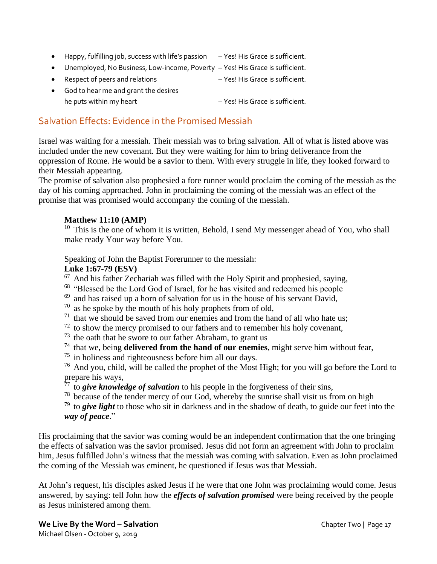- Happy, fulfilling job, success with life's passion Yes! His Grace is sufficient.
- Unemployed, No Business, Low-income, Poverty Yes! His Grace is sufficient.
- Respect of peers and relations  $-$  Yes! His Grace is sufficient.
- God to hear me and grant the desires he puts within my heart  $-$  Yes! His Grace is sufficient.

# Salvation Effects: Evidence in the Promised Messiah

Israel was waiting for a messiah. Their messiah was to bring salvation. All of what is listed above was included under the new covenant. But they were waiting for him to bring deliverance from the oppression of Rome. He would be a savior to them. With every struggle in life, they looked forward to their Messiah appearing.

The promise of salvation also prophesied a fore runner would proclaim the coming of the messiah as the day of his coming approached. John in proclaiming the coming of the messiah was an effect of the promise that was promised would accompany the coming of the messiah.

## **Matthew 11:10 (AMP)**

 $10$  This is the one of whom it is written, Behold, I send My messenger ahead of You, who shall make ready Your way before You.

Speaking of John the Baptist Forerunner to the messiah:

## **Luke 1:67-79 (ESV)**

 $67$  And his father Zechariah was filled with the Holy Spirit and prophesied, saying,

- <sup>68</sup> "Blessed be the Lord God of Israel, for he has visited and redeemed his people
- $69$  and has raised up a horn of salvation for us in the house of his servant David,

 $70$  as he spoke by the mouth of his holy prophets from of old,

- $71$  that we should be saved from our enemies and from the hand of all who hate us;
- $72$  to show the mercy promised to our fathers and to remember his holy covenant,
- $73$  the oath that he swore to our father Abraham, to grant us
- $74$  that we, being **delivered from the hand of our enemies**, might serve him without fear,
- $75$  in holiness and righteousness before him all our days.

 $76$  And you, child, will be called the prophet of the Most High; for you will go before the Lord to prepare his ways,

 $\frac{77}{7}$  to *give knowledge of salvation* to his people in the forgiveness of their sins,

 $78$  because of the tender mercy of our God, whereby the sunrise shall visit us from on high

<sup>79</sup> to *give light* to those who sit in darkness and in the shadow of death, to guide our feet into the *way of peace*."

His proclaiming that the savior was coming would be an independent confirmation that the one bringing the effects of salvation was the savior promised. Jesus did not form an agreement with John to proclaim him, Jesus fulfilled John's witness that the messiah was coming with salvation. Even as John proclaimed the coming of the Messiah was eminent, he questioned if Jesus was that Messiah.

At John's request, his disciples asked Jesus if he were that one John was proclaiming would come. Jesus answered, by saying: tell John how the *effects of salvation promised* were being received by the people as Jesus ministered among them.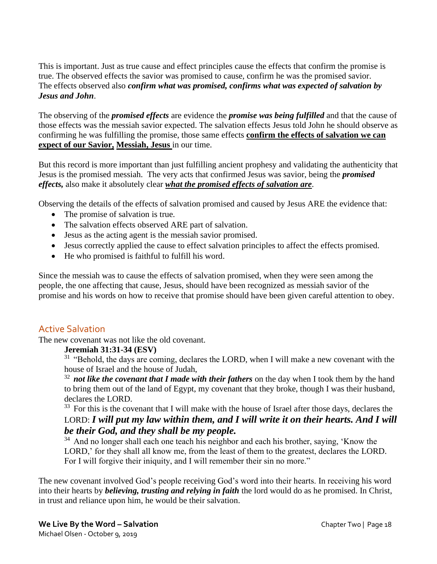This is important. Just as true cause and effect principles cause the effects that confirm the promise is true. The observed effects the savior was promised to cause, confirm he was the promised savior. The effects observed also *confirm what was promised, confirms what was expected of salvation by Jesus and John*.

The observing of the *promised effects* are evidence the *promise was being fulfilled* and that the cause of those effects was the messiah savior expected. The salvation effects Jesus told John he should observe as confirming he was fulfilling the promise, those same effects **confirm the effects of salvation we can expect of our Savior, Messiah, Jesus** in our time.

But this record is more important than just fulfilling ancient prophesy and validating the authenticity that Jesus is the promised messiah. The very acts that confirmed Jesus was savior, being the *promised effects,* also make it absolutely clear *what the promised effects of salvation are*.

Observing the details of the effects of salvation promised and caused by Jesus ARE the evidence that:

- The promise of salvation is true.
- The salvation effects observed ARE part of salvation.
- Jesus as the acting agent is the messiah savior promised.
- Jesus correctly applied the cause to effect salvation principles to affect the effects promised.
- He who promised is faithful to fulfill his word.

Since the messiah was to cause the effects of salvation promised, when they were seen among the people, the one affecting that cause, Jesus, should have been recognized as messiah savior of the promise and his words on how to receive that promise should have been given careful attention to obey.

## Active Salvation

The new covenant was not like the old covenant.

#### **Jeremiah 31:31-34 (ESV)**

 $31$  "Behold, the days are coming, declares the LORD, when I will make a new covenant with the house of Israel and the house of Judah,

<sup>32</sup> not like the covenant that I made with their fathers on the day when I took them by the hand to bring them out of the land of Egypt, my covenant that they broke, though I was their husband, declares the LORD.

<sup>33</sup> For this is the covenant that I will make with the house of Israel after those days, declares the LORD: *I will put my law within them, and I will write it on their hearts. And I will be their God, and they shall be my people.* 

 $34$  And no longer shall each one teach his neighbor and each his brother, saying, 'Know the LORD,' for they shall all know me, from the least of them to the greatest, declares the LORD. For I will forgive their iniquity, and I will remember their sin no more."

The new covenant involved God's people receiving God's word into their hearts. In receiving his word into their hearts by *believing, trusting and relying in faith* the lord would do as he promised. In Christ, in trust and reliance upon him, he would be their salvation.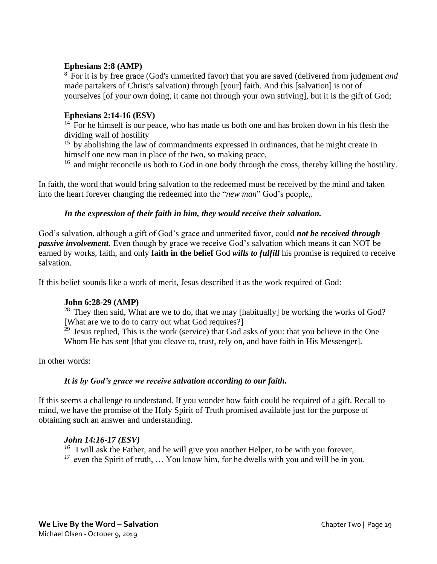## **Ephesians 2:8 (AMP)**

<sup>8</sup>For it is by free grace (God's unmerited favor) that you are saved (delivered from judgment *and* made partakers of Christ's salvation) through [your] faith. And this [salvation] is not of yourselves [of your own doing, it came not through your own striving], but it is the gift of God;

## **Ephesians 2:14-16 (ESV)**

 $14$  For he himself is our peace, who has made us both one and has broken down in his flesh the dividing wall of hostility

<sup>15</sup> by abolishing the law of commandments expressed in ordinances, that he might create in himself one new man in place of the two, so making peace,

 $16$  and might reconcile us both to God in one body through the cross, thereby killing the hostility.

In faith, the word that would bring salvation to the redeemed must be received by the mind and taken into the heart forever changing the redeemed into the "*new man*" God's people,.

#### *In the expression of their faith in him, they would receive their salvation.*

God's salvation, although a gift of God's grace and unmerited favor, could *not be received through passive involvement*. Even though by grace we receive God's salvation which means it can NOT be earned by works, faith, and only **faith in the belief** God *wills to fulfill* his promise is required to receive salvation.

If this belief sounds like a work of merit, Jesus described it as the work required of God:

#### **John 6:28-29 (AMP)**

 $28$  They then said, What are we to do, that we may [habitually] be working the works of God? [What are we to do to carry out what God requires?]

 $29$  Jesus replied, This is the work (service) that God asks of you: that you believe in the One Whom He has sent [that you cleave to, trust, rely on, and have faith in His Messenger].

In other words:

#### *It is by God's grace we receive salvation according to our faith.*

If this seems a challenge to understand. If you wonder how faith could be required of a gift. Recall to mind, we have the promise of the Holy Spirit of Truth promised available just for the purpose of obtaining such an answer and understanding.

#### *John 14:16-17 (ESV)*

<sup>16</sup> I will ask the Father, and he will give you another Helper, to be with you forever, <sup>17</sup> even the Spirit of truth, ... You know him, for he dwells with you and will be in you.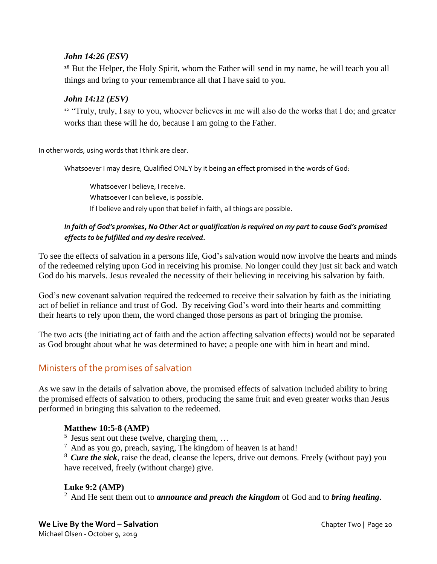## *John 14:26 (ESV)*

<sup>26</sup> But the Helper, the Holy Spirit, whom the Father will send in my name, he will teach you all things and bring to your remembrance all that I have said to you.

## *John 14:12 (ESV)*

<sup>12</sup> "Truly, truly, I say to you, whoever believes in me will also do the works that I do; and greater works than these will he do, because I am going to the Father.

In other words, using words that I think are clear.

Whatsoever I may desire, Qualified ONLY by it being an effect promised in the words of God:

Whatsoever I believe, I receive. Whatsoever I can believe, is possible. If I believe and rely upon that belief in faith, all things are possible.

## *In faith of God's promises, No Other Act or qualification is required on my part to cause God's promised effects to be fulfilled and my desire received.*

To see the effects of salvation in a persons life, God's salvation would now involve the hearts and minds of the redeemed relying upon God in receiving his promise. No longer could they just sit back and watch God do his marvels. Jesus revealed the necessity of their believing in receiving his salvation by faith.

God's new covenant salvation required the redeemed to receive their salvation by faith as the initiating act of belief in reliance and trust of God. By receiving God's word into their hearts and committing their hearts to rely upon them, the word changed those persons as part of bringing the promise.

The two acts (the initiating act of faith and the action affecting salvation effects) would not be separated as God brought about what he was determined to have; a people one with him in heart and mind.

# Ministers of the promises of salvation

As we saw in the details of salvation above, the promised effects of salvation included ability to bring the promised effects of salvation to others, producing the same fruit and even greater works than Jesus performed in bringing this salvation to the redeemed.

## **Matthew 10:5-8 (AMP)**

 $<sup>5</sup>$  Jesus sent out these twelve, charging them, ...</sup>

 $<sup>7</sup>$  And as you go, preach, saying, The kingdom of heaven is at hand!</sup>

<sup>8</sup> Cure the sick, raise the dead, cleanse the lepers, drive out demons. Freely (without pay) you have received, freely (without charge) give.

#### **Luke 9:2 (AMP)**

<sup>2</sup>And He sent them out to *announce and preach the kingdom* of God and to *bring healing*.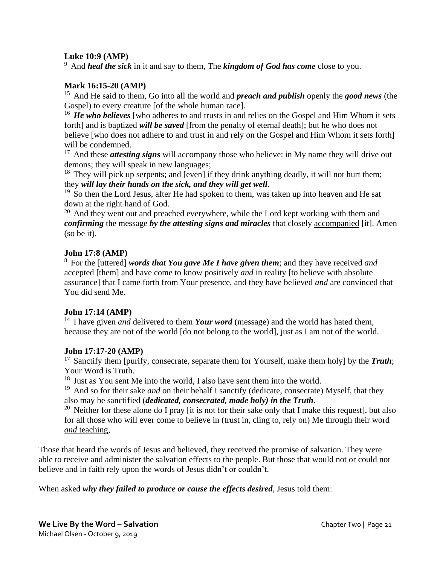## **Luke 10:9 (AMP)**

<sup>9</sup> And *heal the sick* in it and say to them, The *kingdom of God has come* close to you.

## **Mark 16:15-20 (AMP)**

<sup>15</sup> And He said to them, Go into all the world and **preach and publish** openly the **good news** (the Gospel) to every creature [of the whole human race].

<sup>16</sup> He who believes [who adheres to and trusts in and relies on the Gospel and Him Whom it sets forth] and is baptized *will be saved* [from the penalty of eternal death]; but he who does not believe [who does not adhere to and trust in and rely on the Gospel and Him Whom it sets forth] will be condemned.

<sup>17</sup> And these *attesting signs* will accompany those who believe: in My name they will drive out demons; they will speak in new languages;

<sup>18</sup> They will pick up serpents; and [even] if they drink anything deadly, it will not hurt them; they *will lay their hands on the sick, and they will get well*.

<sup>19</sup> So then the Lord Jesus, after He had spoken to them, was taken up into heaven and He sat down at the right hand of God.

 $20$  And they went out and preached everywhere, while the Lord kept working with them and *confirming* the message *by the attesting signs and miracles* that closely accompanied [it]. Amen (so be it).

#### **John 17:8 (AMP)**

<sup>8</sup>For the [uttered] *words that You gave Me I have given them*; and they have received *and* accepted [them] and have come to know positively *and* in reality [to believe with absolute assurance] that I came forth from Your presence, and they have believed *and* are convinced that You did send Me.

#### **John 17:14 (AMP)**

<sup>14</sup> I have given *and* delivered to them *Your word* (message) and the world has hated them, because they are not of the world [do not belong to the world], just as I am not of the world.

#### **John 17:17-20 (AMP)**

<sup>17</sup> Sanctify them [purify, consecrate, separate them for Yourself, make them holy] by the *Truth*; Your Word is Truth.

 $18$  Just as You sent Me into the world, I also have sent them into the world.

<sup>19</sup> And so for their sake *and* on their behalf I sanctify (dedicate, consecrate) Myself, that they also may be sanctified (*dedicated, consecrated, made holy) in the Truth*.

<sup>20</sup> Neither for these alone do I pray [it is not for their sake only that I make this request], but also for all those who will ever come to believe in (trust in, cling to, rely on) Me through their word *and* teaching,

Those that heard the words of Jesus and believed, they received the promise of salvation. They were able to receive and administer the salvation effects to the people. But those that would not or could not believe and in faith rely upon the words of Jesus didn't or couldn't.

When asked *why they failed to produce or cause the effects desired*, Jesus told them: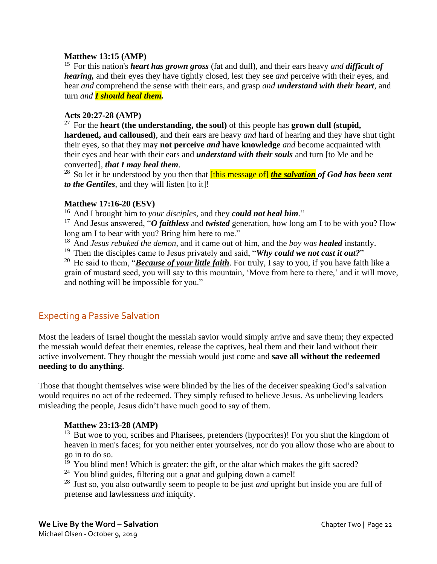## **Matthew 13:15 (AMP)**

<sup>15</sup> For this nation's *heart has grown gross* (fat and dull), and their ears heavy *and difficult of hearing,* and their eyes they have tightly closed, lest they see *and* perceive with their eyes, and hear *and* comprehend the sense with their ears, and grasp *and understand with their heart*, and turn *and I should heal them.*

## **Acts 20:27-28 (AMP)**

<sup>27</sup> For the **heart (the understanding, the soul)** of this people has **grown dull (stupid, hardened, and calloused)**, and their ears are heavy *and* hard of hearing and they have shut tight their eyes, so that they may **not perceive** *and* **have knowledge** *and* become acquainted with their eyes and hear with their ears and *understand with their souls* and turn [to Me and be converted], *that I may heal them*.

<sup>28</sup> So let it be understood by you then that *[this message of] the salvation of God has been sent to the Gentiles*, and they will listen [to it]!

#### **Matthew 17:16-20 (ESV)**

<sup>16</sup> And I brought him to *your disciples*, and they *could not heal him*."

<sup>17</sup> And Jesus answered, "*O faithless* and *twisted* generation, how long am I to be with you? How long am I to bear with you? Bring him here to me."

<sup>18</sup> And *Jesus rebuked the demon*, and it came out of him, and the *boy was healed* instantly.

<sup>19</sup> Then the disciples came to Jesus privately and said, "*Why could we not cast it out?*"

<sup>20</sup> He said to them, "*Because of your little faith*. For truly, I say to you, if you have faith like a grain of mustard seed, you will say to this mountain, 'Move from here to there,' and it will move, and nothing will be impossible for you."

# Expecting a Passive Salvation

Most the leaders of Israel thought the messiah savior would simply arrive and save them; they expected the messiah would defeat their enemies, release the captives, heal them and their land without their active involvement. They thought the messiah would just come and **save all without the redeemed needing to do anything**.

Those that thought themselves wise were blinded by the lies of the deceiver speaking God's salvation would requires no act of the redeemed. They simply refused to believe Jesus. As unbelieving leaders misleading the people, Jesus didn't have much good to say of them.

#### **Matthew 23:13-28 (AMP)**

 $13$  But woe to you, scribes and Pharisees, pretenders (hypocrites)! For you shut the kingdom of heaven in men's faces; for you neither enter yourselves, nor do you allow those who are about to go in to do so.

 $19$  You blind men! Which is greater: the gift, or the altar which makes the gift sacred?

 $24$  You blind guides, filtering out a gnat and gulping down a camel!

<sup>28</sup> Just so, you also outwardly seem to people to be just *and* upright but inside you are full of pretense and lawlessness *and* iniquity.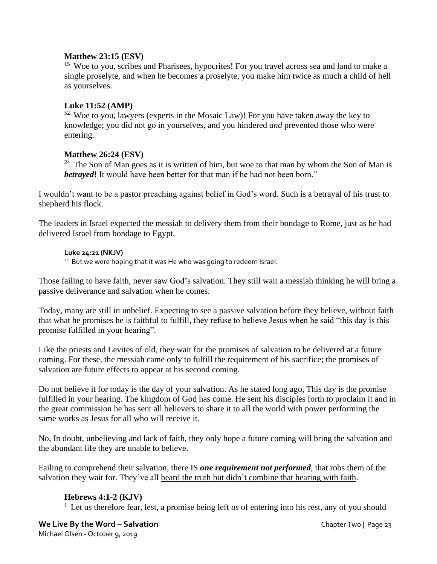## **Matthew 23:15 (ESV)**

<sup>15</sup> Woe to you, scribes and Pharisees, hypocrites! For you travel across sea and land to make a single proselyte, and when he becomes a proselyte, you make him twice as much a child of hell as yourselves.

## **Luke 11:52 (AMP)**

 $52$  Woe to you, lawyers (experts in the Mosaic Law)! For you have taken away the key to knowledge; you did not go in yourselves, and you hindered *and* prevented those who were entering.

## **Matthew 26:24 (ESV)**

<sup>24</sup> The Son of Man goes as it is written of him, but woe to that man by whom the Son of Man is *betrayed*! It would have been better for that man if he had not been born."

I wouldn't want to be a pastor preaching against belief in God's word. Such is a betrayal of his trust to shepherd his flock.

The leaders in Israel expected the messiah to delivery them from their bondage to Rome, just as he had delivered Israel from bondage to Egypt.

#### **Luke 24:21 (NKJV)**

<sup>21</sup> But we were hoping that it was He who was going to redeem Israel.

Those failing to have faith, never saw God's salvation. They still wait a messiah thinking he will bring a passive deliverance and salvation when he comes.

Today, many are still in unbelief. Expecting to see a passive salvation before they believe, without faith that what he promises he is faithful to fulfill, they refuse to believe Jesus when he said "this day is this promise fulfilled in your hearing".

Like the priests and Levites of old, they wait for the promises of salvation to be delivered at a future coming. For these, the messiah came only to fulfill the requirement of his sacrifice; the promises of salvation are future effects to appear at his second coming.

Do not believe it for today is the day of your salvation. As he stated long ago, This day is the promise fulfilled in your hearing. The kingdom of God has come. He sent his disciples forth to proclaim it and in the great commission he has sent all believers to share it to all the world with power performing the same works as Jesus for all who will receive it.

No, In doubt, unbelieving and lack of faith, they only hope a future coming will bring the salvation and the abundant life they are unable to believe.

Failing to comprehend their salvation, there IS *one requirement not performed*, that robs them of the salvation they wait for. They've all heard the truth but didn't combine that hearing with faith.

## **Hebrews 4:1-2 (KJV)**

<sup>1</sup> Let us therefore fear, lest, a promise being left *us* of entering into his rest, any of you should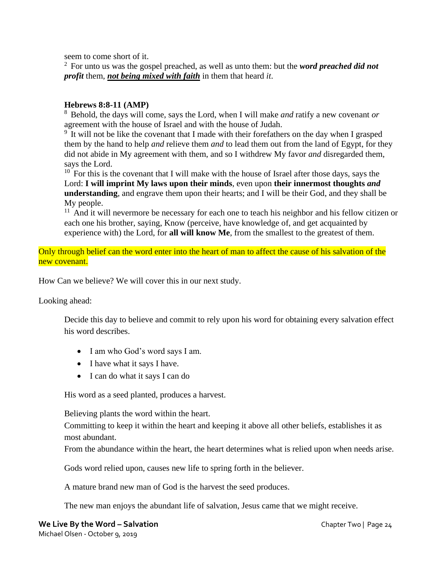seem to come short of it.

<sup>2</sup>For unto us was the gospel preached, as well as unto them: but the *word preached did not profit* them, *not being mixed with faith* in them that heard *it*.

## **Hebrews 8:8-11 (AMP)**

<sup>8</sup>Behold, the days will come, says the Lord, when I will make *and* ratify a new covenant *or* agreement with the house of Israel and with the house of Judah.

 $9$  It will not be like the covenant that I made with their forefathers on the day when I grasped them by the hand to help *and* relieve them *and* to lead them out from the land of Egypt, for they did not abide in My agreement with them, and so I withdrew My favor *and* disregarded them, says the Lord.

 $10$  For this is the covenant that I will make with the house of Israel after those days, says the Lord: **I will imprint My laws upon their minds**, even upon **their innermost thoughts** *and* **understanding**, and engrave them upon their hearts; and I will be their God, and they shall be My people.

 $11$  And it will nevermore be necessary for each one to teach his neighbor and his fellow citizen or each one his brother, saying, Know (perceive, have knowledge of, and get acquainted by experience with) the Lord, for **all will know Me**, from the smallest to the greatest of them.

Only through belief can the word enter into the heart of man to affect the cause of his salvation of the new covenant.

How Can we believe? We will cover this in our next study.

Looking ahead:

Decide this day to believe and commit to rely upon his word for obtaining every salvation effect his word describes.

- I am who God's word says I am.
- I have what it says I have.
- I can do what it says I can do

His word as a seed planted, produces a harvest.

Believing plants the word within the heart.

Committing to keep it within the heart and keeping it above all other beliefs, establishes it as most abundant.

From the abundance within the heart, the heart determines what is relied upon when needs arise.

Gods word relied upon, causes new life to spring forth in the believer.

A mature brand new man of God is the harvest the seed produces.

The new man enjoys the abundant life of salvation, Jesus came that we might receive.